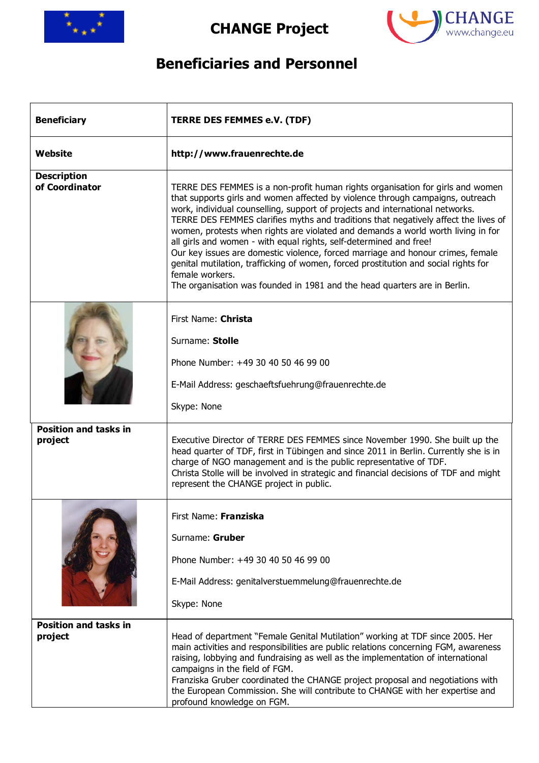

**CHANGE Project** 



## **Beneficiaries and Personnel**

| <b>Beneficiary</b>                      | <b>TERRE DES FEMMES e.V. (TDF)</b>                                                                                                                                                                                                                                                                                                                                                                                                                                                                                                                                                                                                                                                                                                                                           |
|-----------------------------------------|------------------------------------------------------------------------------------------------------------------------------------------------------------------------------------------------------------------------------------------------------------------------------------------------------------------------------------------------------------------------------------------------------------------------------------------------------------------------------------------------------------------------------------------------------------------------------------------------------------------------------------------------------------------------------------------------------------------------------------------------------------------------------|
| Website                                 | http://www.frauenrechte.de                                                                                                                                                                                                                                                                                                                                                                                                                                                                                                                                                                                                                                                                                                                                                   |
| <b>Description</b><br>of Coordinator    | TERRE DES FEMMES is a non-profit human rights organisation for girls and women<br>that supports girls and women affected by violence through campaigns, outreach<br>work, individual counselling, support of projects and international networks.<br>TERRE DES FEMMES clarifies myths and traditions that negatively affect the lives of<br>women, protests when rights are violated and demands a world worth living in for<br>all girls and women - with equal rights, self-determined and free!<br>Our key issues are domestic violence, forced marriage and honour crimes, female<br>genital mutilation, trafficking of women, forced prostitution and social rights for<br>female workers.<br>The organisation was founded in 1981 and the head quarters are in Berlin. |
|                                         | First Name: Christa<br>Surname: Stolle<br>Phone Number: +49 30 40 50 46 99 00<br>E-Mail Address: geschaeftsfuehrung@frauenrechte.de<br>Skype: None                                                                                                                                                                                                                                                                                                                                                                                                                                                                                                                                                                                                                           |
| <b>Position and tasks in</b><br>project | Executive Director of TERRE DES FEMMES since November 1990. She built up the<br>head quarter of TDF, first in Tübingen and since 2011 in Berlin. Currently she is in<br>charge of NGO management and is the public representative of TDF.<br>Christa Stolle will be involved in strategic and financial decisions of TDF and might<br>represent the CHANGE project in public.                                                                                                                                                                                                                                                                                                                                                                                                |
|                                         | First Name: Franziska<br>Surname: Gruber<br>Phone Number: +49 30 40 50 46 99 00<br>E-Mail Address: genitalverstuemmelung@frauenrechte.de<br>Skype: None                                                                                                                                                                                                                                                                                                                                                                                                                                                                                                                                                                                                                      |
| <b>Position and tasks in</b><br>project | Head of department "Female Genital Mutilation" working at TDF since 2005. Her<br>main activities and responsibilities are public relations concerning FGM, awareness<br>raising, lobbying and fundraising as well as the implementation of international<br>campaigns in the field of FGM.<br>Franziska Gruber coordinated the CHANGE project proposal and negotiations with<br>the European Commission. She will contribute to CHANGE with her expertise and<br>profound knowledge on FGM.                                                                                                                                                                                                                                                                                  |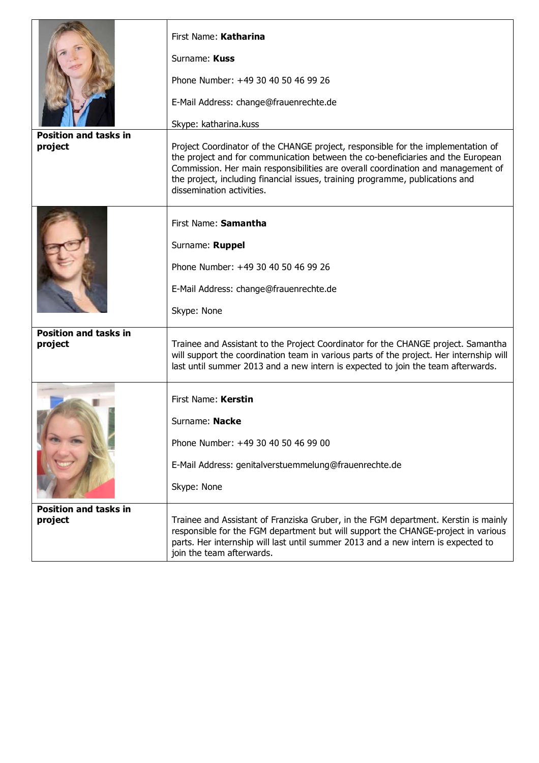| <b>Position and tasks in</b><br>project | First Name: Katharina<br>Surname: Kuss<br>Phone Number: +49 30 40 50 46 99 26<br>E-Mail Address: change@frauenrechte.de<br>Skype: katharina.kuss<br>Project Coordinator of the CHANGE project, responsible for the implementation of<br>the project and for communication between the co-beneficiaries and the European<br>Commission. Her main responsibilities are overall coordination and management of<br>the project, including financial issues, training programme, publications and<br>dissemination activities. |
|-----------------------------------------|---------------------------------------------------------------------------------------------------------------------------------------------------------------------------------------------------------------------------------------------------------------------------------------------------------------------------------------------------------------------------------------------------------------------------------------------------------------------------------------------------------------------------|
|                                         | First Name: Samantha<br>Surname: Ruppel<br>Phone Number: +49 30 40 50 46 99 26<br>E-Mail Address: change@frauenrechte.de<br>Skype: None                                                                                                                                                                                                                                                                                                                                                                                   |
| <b>Position and tasks in</b><br>project | Trainee and Assistant to the Project Coordinator for the CHANGE project. Samantha<br>will support the coordination team in various parts of the project. Her internship will<br>last until summer 2013 and a new intern is expected to join the team afterwards.                                                                                                                                                                                                                                                          |
|                                         | First Name: Kerstin<br>Surname: Nacke<br>Phone Number: +49 30 40 50 46 99 00<br>E-Mail Address: genitalverstuemmelung@frauenrechte.de<br>Skype: None                                                                                                                                                                                                                                                                                                                                                                      |
| <b>Position and tasks in</b><br>project | Trainee and Assistant of Franziska Gruber, in the FGM department. Kerstin is mainly<br>responsible for the FGM department but will support the CHANGE-project in various<br>parts. Her internship will last until summer 2013 and a new intern is expected to<br>join the team afterwards.                                                                                                                                                                                                                                |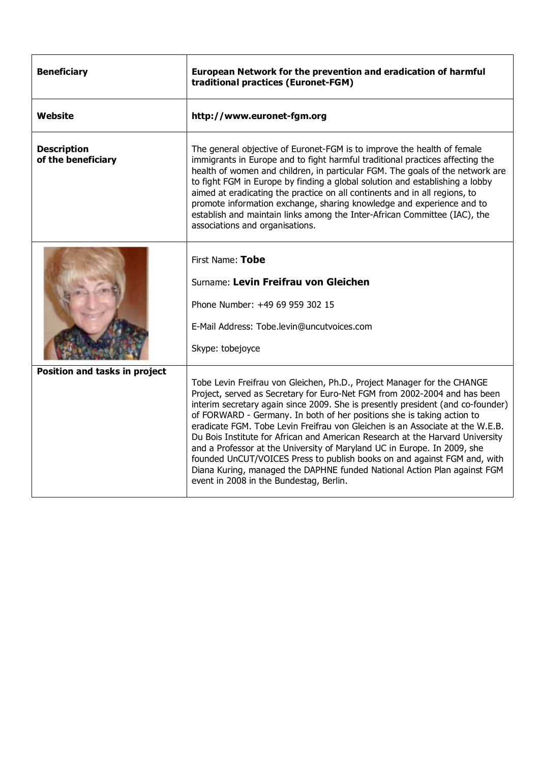| <b>Beneficiary</b>                       | European Network for the prevention and eradication of harmful<br>traditional practices (Euronet-FGM)                                                                                                                                                                                                                                                                                                                                                                                                                                                                                                                                                                                                                                                              |
|------------------------------------------|--------------------------------------------------------------------------------------------------------------------------------------------------------------------------------------------------------------------------------------------------------------------------------------------------------------------------------------------------------------------------------------------------------------------------------------------------------------------------------------------------------------------------------------------------------------------------------------------------------------------------------------------------------------------------------------------------------------------------------------------------------------------|
| Website                                  | http://www.euronet-fgm.org                                                                                                                                                                                                                                                                                                                                                                                                                                                                                                                                                                                                                                                                                                                                         |
| <b>Description</b><br>of the beneficiary | The general objective of Euronet-FGM is to improve the health of female<br>immigrants in Europe and to fight harmful traditional practices affecting the<br>health of women and children, in particular FGM. The goals of the network are<br>to fight FGM in Europe by finding a global solution and establishing a lobby<br>aimed at eradicating the practice on all continents and in all regions, to<br>promote information exchange, sharing knowledge and experience and to<br>establish and maintain links among the Inter-African Committee (IAC), the<br>associations and organisations.                                                                                                                                                                   |
|                                          | First Name: Tobe<br>Surname: Levin Freifrau von Gleichen<br>Phone Number: +49 69 959 302 15<br>E-Mail Address: Tobe.levin@uncutvoices.com<br>Skype: tobejoyce                                                                                                                                                                                                                                                                                                                                                                                                                                                                                                                                                                                                      |
| Position and tasks in project            | Tobe Levin Freifrau von Gleichen, Ph.D., Project Manager for the CHANGE<br>Project, served as Secretary for Euro-Net FGM from 2002-2004 and has been<br>interim secretary again since 2009. She is presently president (and co-founder)<br>of FORWARD - Germany. In both of her positions she is taking action to<br>eradicate FGM. Tobe Levin Freifrau von Gleichen is an Associate at the W.E.B.<br>Du Bois Institute for African and American Research at the Harvard University<br>and a Professor at the University of Maryland UC in Europe. In 2009, she<br>founded UnCUT/VOICES Press to publish books on and against FGM and, with<br>Diana Kuring, managed the DAPHNE funded National Action Plan against FGM<br>event in 2008 in the Bundestag, Berlin. |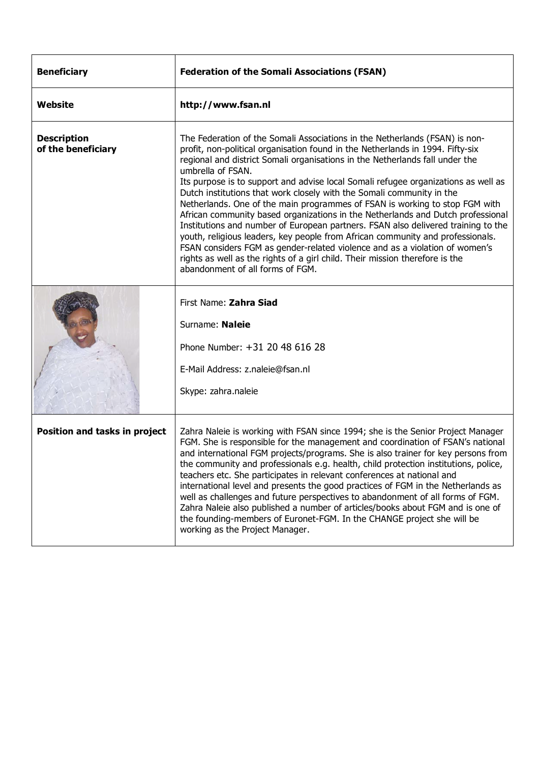| <b>Beneficiary</b>                       | <b>Federation of the Somali Associations (FSAN)</b>                                                                                                                                                                                                                                                                                                                                                                                                                                                                                                                                                                                                                                                                                                                                                                                                                                                                                                                           |
|------------------------------------------|-------------------------------------------------------------------------------------------------------------------------------------------------------------------------------------------------------------------------------------------------------------------------------------------------------------------------------------------------------------------------------------------------------------------------------------------------------------------------------------------------------------------------------------------------------------------------------------------------------------------------------------------------------------------------------------------------------------------------------------------------------------------------------------------------------------------------------------------------------------------------------------------------------------------------------------------------------------------------------|
| <b>Website</b>                           | http://www.fsan.nl                                                                                                                                                                                                                                                                                                                                                                                                                                                                                                                                                                                                                                                                                                                                                                                                                                                                                                                                                            |
| <b>Description</b><br>of the beneficiary | The Federation of the Somali Associations in the Netherlands (FSAN) is non-<br>profit, non-political organisation found in the Netherlands in 1994. Fifty-six<br>regional and district Somali organisations in the Netherlands fall under the<br>umbrella of FSAN.<br>Its purpose is to support and advise local Somali refugee organizations as well as<br>Dutch institutions that work closely with the Somali community in the<br>Netherlands. One of the main programmes of FSAN is working to stop FGM with<br>African community based organizations in the Netherlands and Dutch professional<br>Institutions and number of European partners. FSAN also delivered training to the<br>youth, religious leaders, key people from African community and professionals.<br>FSAN considers FGM as gender-related violence and as a violation of women's<br>rights as well as the rights of a girl child. Their mission therefore is the<br>abandonment of all forms of FGM. |
|                                          | First Name: Zahra Siad<br>Surname: Naleie<br>Phone Number: +31 20 48 616 28<br>E-Mail Address: z.naleie@fsan.nl<br>Skype: zahra.naleie                                                                                                                                                                                                                                                                                                                                                                                                                                                                                                                                                                                                                                                                                                                                                                                                                                        |
| Position and tasks in project            | Zahra Naleie is working with FSAN since 1994; she is the Senior Project Manager<br>FGM. She is responsible for the management and coordination of FSAN's national<br>and international FGM projects/programs. She is also trainer for key persons from<br>the community and professionals e.g. health, child protection institutions, police,<br>teachers etc. She participates in relevant conferences at national and<br>international level and presents the good practices of FGM in the Netherlands as<br>well as challenges and future perspectives to abandonment of all forms of FGM.<br>Zahra Naleie also published a number of articles/books about FGM and is one of<br>the founding-members of Euronet-FGM. In the CHANGE project she will be<br>working as the Project Manager.                                                                                                                                                                                  |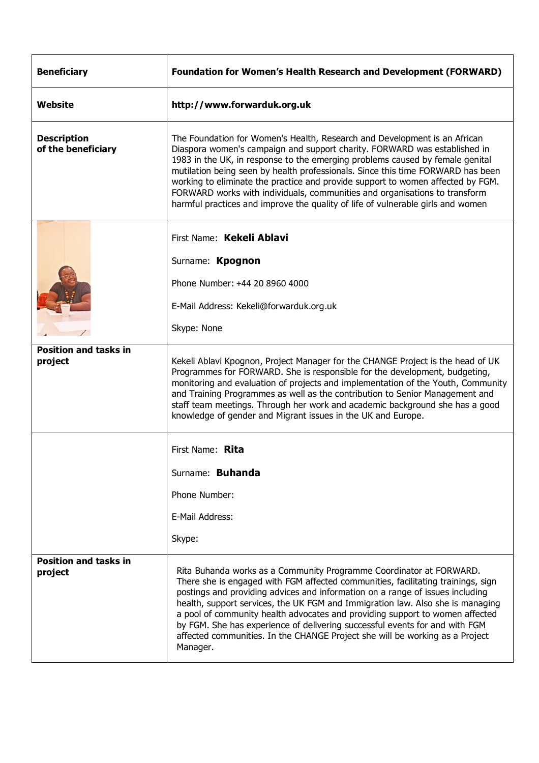| <b>Beneficiary</b>                       | <b>Foundation for Women's Health Research and Development (FORWARD)</b>                                                                                                                                                                                                                                                                                                                                                                                                                                                                                                               |
|------------------------------------------|---------------------------------------------------------------------------------------------------------------------------------------------------------------------------------------------------------------------------------------------------------------------------------------------------------------------------------------------------------------------------------------------------------------------------------------------------------------------------------------------------------------------------------------------------------------------------------------|
| Website                                  | http://www.forwarduk.org.uk                                                                                                                                                                                                                                                                                                                                                                                                                                                                                                                                                           |
| <b>Description</b><br>of the beneficiary | The Foundation for Women's Health, Research and Development is an African<br>Diaspora women's campaign and support charity. FORWARD was established in<br>1983 in the UK, in response to the emerging problems caused by female genital<br>mutilation being seen by health professionals. Since this time FORWARD has been<br>working to eliminate the practice and provide support to women affected by FGM.<br>FORWARD works with individuals, communities and organisations to transform<br>harmful practices and improve the quality of life of vulnerable girls and women        |
|                                          | First Name: Kekeli Ablavi                                                                                                                                                                                                                                                                                                                                                                                                                                                                                                                                                             |
|                                          | Surname: Kpognon                                                                                                                                                                                                                                                                                                                                                                                                                                                                                                                                                                      |
|                                          | Phone Number: +44 20 8960 4000                                                                                                                                                                                                                                                                                                                                                                                                                                                                                                                                                        |
|                                          | E-Mail Address: Kekeli@forwarduk.org.uk                                                                                                                                                                                                                                                                                                                                                                                                                                                                                                                                               |
|                                          | Skype: None                                                                                                                                                                                                                                                                                                                                                                                                                                                                                                                                                                           |
| <b>Position and tasks in</b><br>project  | Kekeli Ablavi Kpognon, Project Manager for the CHANGE Project is the head of UK<br>Programmes for FORWARD. She is responsible for the development, budgeting,<br>monitoring and evaluation of projects and implementation of the Youth, Community<br>and Training Programmes as well as the contribution to Senior Management and<br>staff team meetings. Through her work and academic background she has a good<br>knowledge of gender and Migrant issues in the UK and Europe.                                                                                                     |
|                                          | First Name: Rita                                                                                                                                                                                                                                                                                                                                                                                                                                                                                                                                                                      |
|                                          | Surname: Buhanda                                                                                                                                                                                                                                                                                                                                                                                                                                                                                                                                                                      |
|                                          | Phone Number:                                                                                                                                                                                                                                                                                                                                                                                                                                                                                                                                                                         |
|                                          | E-Mail Address:                                                                                                                                                                                                                                                                                                                                                                                                                                                                                                                                                                       |
|                                          | Skype:                                                                                                                                                                                                                                                                                                                                                                                                                                                                                                                                                                                |
| <b>Position and tasks in</b><br>project  | Rita Buhanda works as a Community Programme Coordinator at FORWARD.<br>There she is engaged with FGM affected communities, facilitating trainings, sign<br>postings and providing advices and information on a range of issues including<br>health, support services, the UK FGM and Immigration law. Also she is managing<br>a pool of community health advocates and providing support to women affected<br>by FGM. She has experience of delivering successful events for and with FGM<br>affected communities. In the CHANGE Project she will be working as a Project<br>Manager. |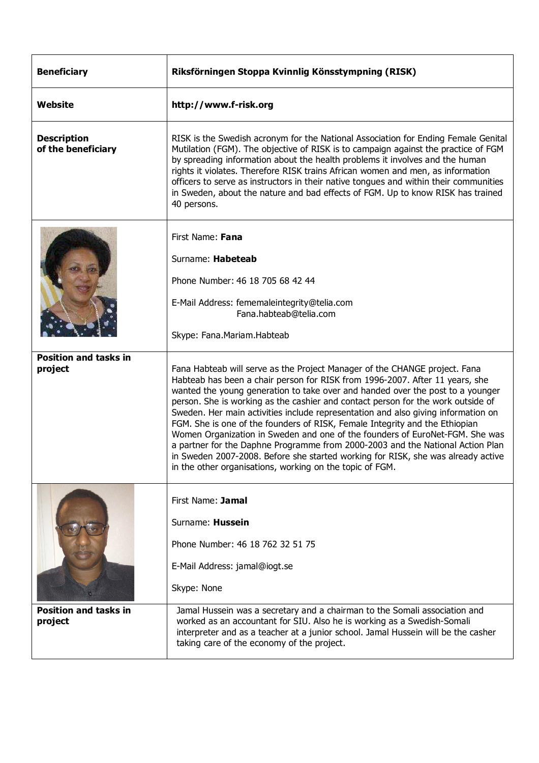| <b>Beneficiary</b>                       | Riksförningen Stoppa Kvinnlig Könsstympning (RISK)                                                                                                                                                                                                                                                                                                                                                                                                                                                                                                                                                                                                                                                                                                                                                                     |
|------------------------------------------|------------------------------------------------------------------------------------------------------------------------------------------------------------------------------------------------------------------------------------------------------------------------------------------------------------------------------------------------------------------------------------------------------------------------------------------------------------------------------------------------------------------------------------------------------------------------------------------------------------------------------------------------------------------------------------------------------------------------------------------------------------------------------------------------------------------------|
| Website                                  | http://www.f-risk.org                                                                                                                                                                                                                                                                                                                                                                                                                                                                                                                                                                                                                                                                                                                                                                                                  |
| <b>Description</b><br>of the beneficiary | RISK is the Swedish acronym for the National Association for Ending Female Genital<br>Mutilation (FGM). The objective of RISK is to campaign against the practice of FGM<br>by spreading information about the health problems it involves and the human<br>rights it violates. Therefore RISK trains African women and men, as information<br>officers to serve as instructors in their native tongues and within their communities<br>in Sweden, about the nature and bad effects of FGM. Up to know RISK has trained<br>40 persons.                                                                                                                                                                                                                                                                                 |
|                                          | First Name: Fana<br>Surname: Habeteab<br>Phone Number: 46 18 705 68 42 44<br>E-Mail Address: fememaleintegrity@telia.com<br>Fana.habteab@telia.com<br>Skype: Fana.Mariam.Habteab                                                                                                                                                                                                                                                                                                                                                                                                                                                                                                                                                                                                                                       |
| <b>Position and tasks in</b><br>project  | Fana Habteab will serve as the Project Manager of the CHANGE project. Fana<br>Habteab has been a chair person for RISK from 1996-2007. After 11 years, she<br>wanted the young generation to take over and handed over the post to a younger<br>person. She is working as the cashier and contact person for the work outside of<br>Sweden. Her main activities include representation and also giving information on<br>FGM. She is one of the founders of RISK, Female Integrity and the Ethiopian<br>Women Organization in Sweden and one of the founders of EuroNet-FGM. She was<br>a partner for the Daphne Programme from 2000-2003 and the National Action Plan<br>in Sweden 2007-2008. Before she started working for RISK, she was already active<br>in the other organisations, working on the topic of FGM. |
|                                          | First Name: Jamal<br>Surname: Hussein<br>Phone Number: 46 18 762 32 51 75<br>E-Mail Address: jamal@iogt.se<br>Skype: None                                                                                                                                                                                                                                                                                                                                                                                                                                                                                                                                                                                                                                                                                              |
| <b>Position and tasks in</b><br>project  | Jamal Hussein was a secretary and a chairman to the Somali association and<br>worked as an accountant for SIU. Also he is working as a Swedish-Somali<br>interpreter and as a teacher at a junior school. Jamal Hussein will be the casher<br>taking care of the economy of the project.                                                                                                                                                                                                                                                                                                                                                                                                                                                                                                                               |